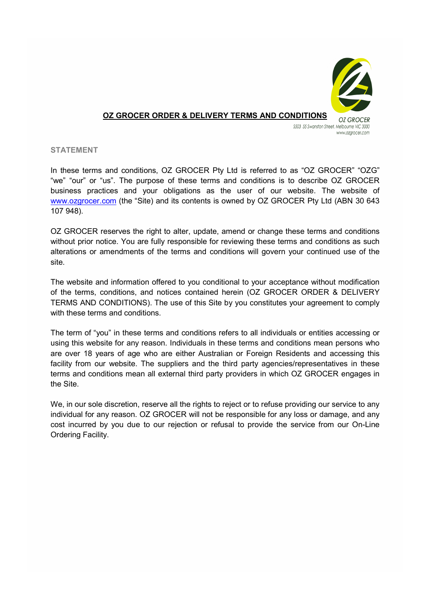

## OZ GROCER ORDER & DELIVERY TERMS AND CONDITIONS

\$503 55 Swanston Street, Melbourne VIC 3000 www.ozarocer.com

## STATEMENT

In these terms and conditions, OZ GROCER Pty Ltd is referred to as "OZ GROCER" "OZG" "we" "our" or "us". The purpose of these terms and conditions is to describe OZ GROCER business practices and your obligations as the user of our website. The website of www.ozgrocer.com (the "Site) and its contents is owned by OZ GROCER Pty Ltd (ABN 30 643 107 948).

OZ GROCER reserves the right to alter, update, amend or change these terms and conditions without prior notice. You are fully responsible for reviewing these terms and conditions as such alterations or amendments of the terms and conditions will govern your continued use of the site.

The website and information offered to you conditional to your acceptance without modification of the terms, conditions, and notices contained herein (OZ GROCER ORDER & DELIVERY TERMS AND CONDITIONS). The use of this Site by you constitutes your agreement to comply with these terms and conditions.

The term of "you" in these terms and conditions refers to all individuals or entities accessing or using this website for any reason. Individuals in these terms and conditions mean persons who are over 18 years of age who are either Australian or Foreign Residents and accessing this facility from our website. The suppliers and the third party agencies/representatives in these terms and conditions mean all external third party providers in which OZ GROCER engages in the Site.

We, in our sole discretion, reserve all the rights to reject or to refuse providing our service to any individual for any reason. OZ GROCER will not be responsible for any loss or damage, and any cost incurred by you due to our rejection or refusal to provide the service from our On-Line Ordering Facility.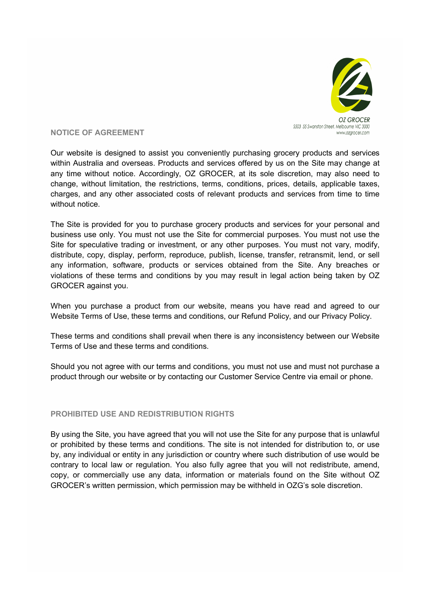

NOTICE OF AGREEMENT

Our website is designed to assist you conveniently purchasing grocery products and services within Australia and overseas. Products and services offered by us on the Site may change at any time without notice. Accordingly, OZ GROCER, at its sole discretion, may also need to change, without limitation, the restrictions, terms, conditions, prices, details, applicable taxes, charges, and any other associated costs of relevant products and services from time to time without notice

The Site is provided for you to purchase grocery products and services for your personal and business use only. You must not use the Site for commercial purposes. You must not use the Site for speculative trading or investment, or any other purposes. You must not vary, modify, distribute, copy, display, perform, reproduce, publish, license, transfer, retransmit, lend, or sell any information, software, products or services obtained from the Site. Any breaches or violations of these terms and conditions by you may result in legal action being taken by OZ GROCER against you.

When you purchase a product from our website, means you have read and agreed to our Website Terms of Use, these terms and conditions, our Refund Policy, and our Privacy Policy.

These terms and conditions shall prevail when there is any inconsistency between our Website Terms of Use and these terms and conditions.

Should you not agree with our terms and conditions, you must not use and must not purchase a product through our website or by contacting our Customer Service Centre via email or phone.

# PROHIBITED USE AND REDISTRIBUTION RIGHTS

By using the Site, you have agreed that you will not use the Site for any purpose that is unlawful or prohibited by these terms and conditions. The site is not intended for distribution to, or use by, any individual or entity in any jurisdiction or country where such distribution of use would be contrary to local law or regulation. You also fully agree that you will not redistribute, amend, copy, or commercially use any data, information or materials found on the Site without OZ GROCER's written permission, which permission may be withheld in OZG's sole discretion.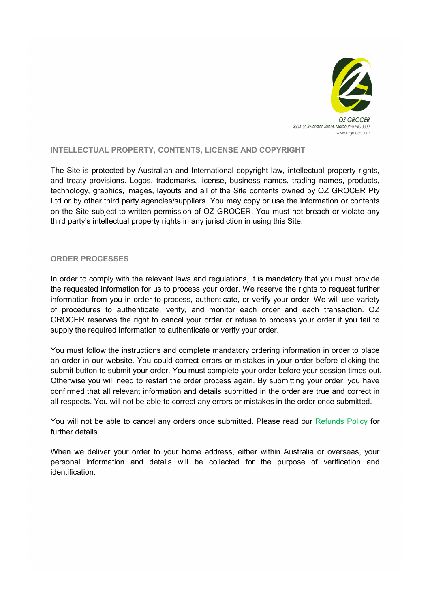

# INTELLECTUAL PROPERTY, CONTENTS, LICENSE AND COPYRIGHT

The Site is protected by Australian and International copyright law, intellectual property rights, and treaty provisions. Logos, trademarks, license, business names, trading names, products, technology, graphics, images, layouts and all of the Site contents owned by OZ GROCER Pty Ltd or by other third party agencies/suppliers. You may copy or use the information or contents on the Site subject to written permission of OZ GROCER. You must not breach or violate any third party's intellectual property rights in any jurisdiction in using this Site.

## ORDER PROCESSES

In order to comply with the relevant laws and regulations, it is mandatory that you must provide the requested information for us to process your order. We reserve the rights to request further information from you in order to process, authenticate, or verify your order. We will use variety of procedures to authenticate, verify, and monitor each order and each transaction. OZ GROCER reserves the right to cancel your order or refuse to process your order if you fail to supply the required information to authenticate or verify your order.

You must follow the instructions and complete mandatory ordering information in order to place an order in our website. You could correct errors or mistakes in your order before clicking the submit button to submit your order. You must complete your order before your session times out. Otherwise you will need to restart the order process again. By submitting your order, you have confirmed that all relevant information and details submitted in the order are true and correct in all respects. You will not be able to correct any errors or mistakes in the order once submitted.

You will not be able to cancel any orders once submitted. Please read our Refunds Policy for further details.

When we deliver your order to your home address, either within Australia or overseas, your personal information and details will be collected for the purpose of verification and identification.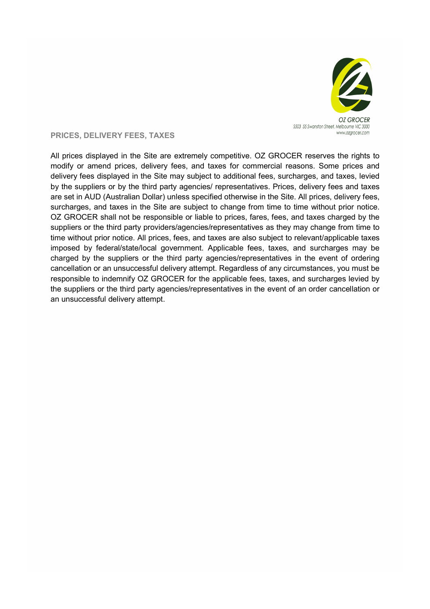

# PRICES, DELIVERY FEES, TAXES

All prices displayed in the Site are extremely competitive. OZ GROCER reserves the rights to modify or amend prices, delivery fees, and taxes for commercial reasons. Some prices and delivery fees displayed in the Site may subject to additional fees, surcharges, and taxes, levied by the suppliers or by the third party agencies/ representatives. Prices, delivery fees and taxes are set in AUD (Australian Dollar) unless specified otherwise in the Site. All prices, delivery fees, surcharges, and taxes in the Site are subject to change from time to time without prior notice. OZ GROCER shall not be responsible or liable to prices, fares, fees, and taxes charged by the suppliers or the third party providers/agencies/representatives as they may change from time to time without prior notice. All prices, fees, and taxes are also subject to relevant/applicable taxes imposed by federal/state/local government. Applicable fees, taxes, and surcharges may be charged by the suppliers or the third party agencies/representatives in the event of ordering cancellation or an unsuccessful delivery attempt. Regardless of any circumstances, you must be responsible to indemnify OZ GROCER for the applicable fees, taxes, and surcharges levied by the suppliers or the third party agencies/representatives in the event of an order cancellation or an unsuccessful delivery attempt.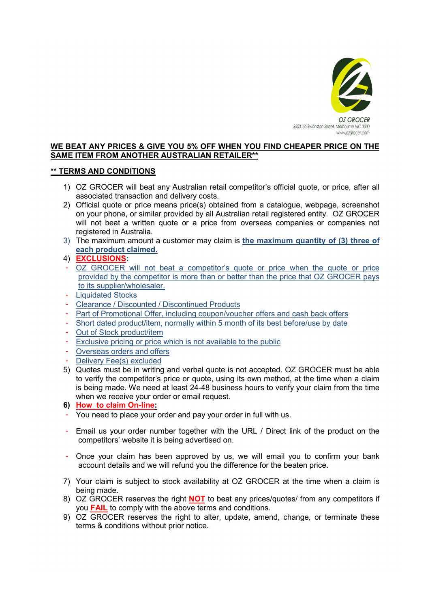

# WE BEAT ANY PRICES & GIVE YOU 5% OFF WHEN YOU FIND CHEAPER PRICE ON THE SAME ITEM FROM ANOTHER AUSTRALIAN RETAILER\*\*

# \*\* TERMS AND CONDITIONS

- 1) OZ GROCER will beat any Australian retail competitor's official quote, or price, after all associated transaction and delivery costs.
- 2) Official quote or price means price(s) obtained from a catalogue, webpage, screenshot on your phone, or similar provided by all Australian retail registered entity. OZ GROCER will not beat a written quote or a price from overseas companies or companies not registered in Australia.
- 3) The maximum amount a customer may claim is the maximum quantity of (3) three of each product claimed.
- 4) EXCLUSIONS:
- OZ GROCER will not beat a competitor's quote or price when the quote or price provided by the competitor is more than or better than the price that OZ GROCER pays to its supplier/wholesaler.
- **Liquidated Stocks**
- Clearance / Discounted / Discontinued Products
- Part of Promotional Offer, including coupon/voucher offers and cash back offers
- Short dated product/item, normally within 5 month of its best before/use by date
- Out of Stock product/item
- Exclusive pricing or price which is not available to the public
- Overseas orders and offers
- Delivery Fee(s) excluded
- 5) Quotes must be in writing and verbal quote is not accepted. OZ GROCER must be able to verify the competitor's price or quote, using its own method, at the time when a claim is being made. We need at least 24-48 business hours to verify your claim from the time when we receive your order or email request.
- 6) How to claim On-line:
- You need to place your order and pay your order in full with us.
- Email us your order number together with the URL / Direct link of the product on the competitors' website it is being advertised on.
- Once your claim has been approved by us, we will email you to confirm your bank account details and we will refund you the difference for the beaten price.
- 7) Your claim is subject to stock availability at OZ GROCER at the time when a claim is being made.
- 8) OZ GROCER reserves the right **NOT** to beat any prices/quotes/ from any competitors if you **FAIL** to comply with the above terms and conditions.
- 9) OZ GROCER reserves the right to alter, update, amend, change, or terminate these terms & conditions without prior notice.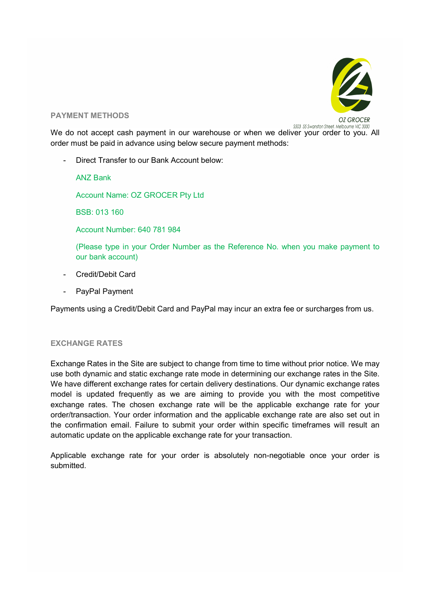

## PAYMENT METHODS

\$503 55 Swanston Street, Melbourne VIC 3000

We do not accept cash payment in our warehouse or when we deliver your order to you. All order must be paid in advance using below secure payment methods:

Direct Transfer to our Bank Account below:

ANZ Bank

Account Name: OZ GROCER Pty Ltd

BSB: 013 160

Account Number: 640 781 984

(Please type in your Order Number as the Reference No. when you make payment to our bank account)

- Credit/Debit Card
- PayPal Payment

Payments using a Credit/Debit Card and PayPal may incur an extra fee or surcharges from us.

# EXCHANGE RATES

Exchange Rates in the Site are subject to change from time to time without prior notice. We may use both dynamic and static exchange rate mode in determining our exchange rates in the Site. We have different exchange rates for certain delivery destinations. Our dynamic exchange rates model is updated frequently as we are aiming to provide you with the most competitive exchange rates. The chosen exchange rate will be the applicable exchange rate for your order/transaction. Your order information and the applicable exchange rate are also set out in the confirmation email. Failure to submit your order within specific timeframes will result an automatic update on the applicable exchange rate for your transaction.

Applicable exchange rate for your order is absolutely non-negotiable once your order is submitted.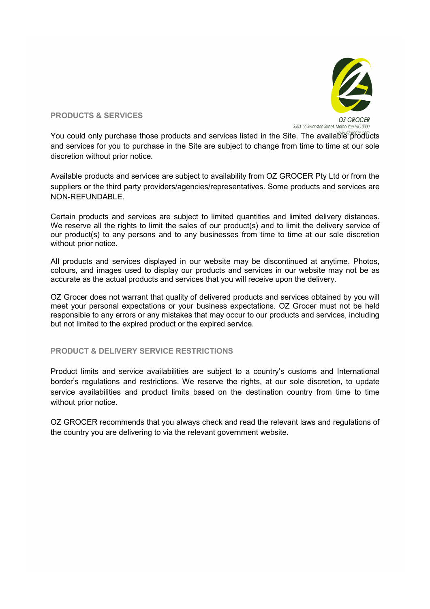

PRODUCTS & SERVICES

You could only purchase those products and services listed in the Site. The available products and services for you to purchase in the Site are subject to change from time to time at our sole discretion without prior notice.

Available products and services are subject to availability from OZ GROCER Pty Ltd or from the suppliers or the third party providers/agencies/representatives. Some products and services are NON-REFUNDABLE.

Certain products and services are subject to limited quantities and limited delivery distances. We reserve all the rights to limit the sales of our product(s) and to limit the delivery service of our product(s) to any persons and to any businesses from time to time at our sole discretion without prior notice.

All products and services displayed in our website may be discontinued at anytime. Photos, colours, and images used to display our products and services in our website may not be as accurate as the actual products and services that you will receive upon the delivery.

OZ Grocer does not warrant that quality of delivered products and services obtained by you will meet your personal expectations or your business expectations. OZ Grocer must not be held responsible to any errors or any mistakes that may occur to our products and services, including but not limited to the expired product or the expired service.

# PRODUCT & DELIVERY SERVICE RESTRICTIONS

Product limits and service availabilities are subject to a country's customs and International border's regulations and restrictions. We reserve the rights, at our sole discretion, to update service availabilities and product limits based on the destination country from time to time without prior notice.

OZ GROCER recommends that you always check and read the relevant laws and regulations of the country you are delivering to via the relevant government website.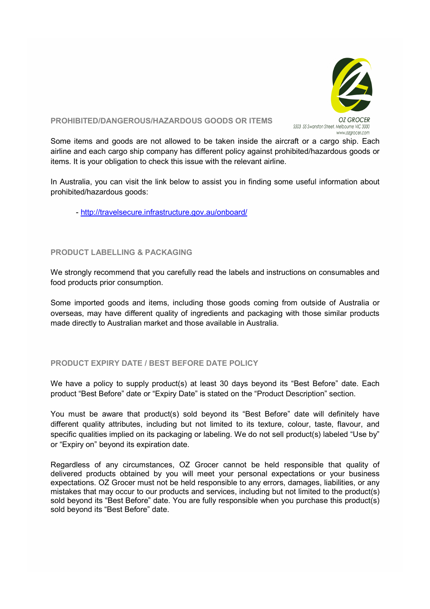

## PROHIBITED/DANGEROUS/HAZARDOUS GOODS OR ITEMS

Some items and goods are not allowed to be taken inside the aircraft or a cargo ship. Each airline and each cargo ship company has different policy against prohibited/hazardous goods or items. It is your obligation to check this issue with the relevant airline.

In Australia, you can visit the link below to assist you in finding some useful information about prohibited/hazardous goods:

- http://travelsecure.infrastructure.gov.au/onboard/

# PRODUCT LABELLING & PACKAGING

We strongly recommend that you carefully read the labels and instructions on consumables and food products prior consumption.

Some imported goods and items, including those goods coming from outside of Australia or overseas, may have different quality of ingredients and packaging with those similar products made directly to Australian market and those available in Australia.

# PRODUCT EXPIRY DATE / BEST BEFORE DATE POLICY

We have a policy to supply product(s) at least 30 days beyond its "Best Before" date. Each product "Best Before" date or "Expiry Date" is stated on the "Product Description" section.

You must be aware that product(s) sold beyond its "Best Before" date will definitely have different quality attributes, including but not limited to its texture, colour, taste, flavour, and specific qualities implied on its packaging or labeling. We do not sell product(s) labeled "Use by" or "Expiry on" beyond its expiration date.

Regardless of any circumstances, OZ Grocer cannot be held responsible that quality of delivered products obtained by you will meet your personal expectations or your business expectations. OZ Grocer must not be held responsible to any errors, damages, liabilities, or any mistakes that may occur to our products and services, including but not limited to the product(s) sold beyond its "Best Before" date. You are fully responsible when you purchase this product(s) sold beyond its "Best Before" date.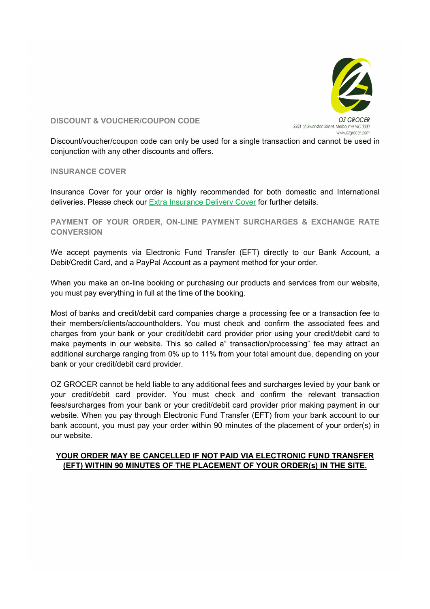

DISCOUNT & VOUCHER/COUPON CODE

Discount/voucher/coupon code can only be used for a single transaction and cannot be used in conjunction with any other discounts and offers.

INSURANCE COVER

Insurance Cover for your order is highly recommended for both domestic and International deliveries. Please check our Extra Insurance Delivery Cover for further details.

PAYMENT OF YOUR ORDER, ON-LINE PAYMENT SURCHARGES & EXCHANGE RATE **CONVERSION** 

We accept payments via Electronic Fund Transfer (EFT) directly to our Bank Account, a Debit/Credit Card, and a PayPal Account as a payment method for your order.

When you make an on-line booking or purchasing our products and services from our website, you must pay everything in full at the time of the booking.

Most of banks and credit/debit card companies charge a processing fee or a transaction fee to their members/clients/accountholders. You must check and confirm the associated fees and charges from your bank or your credit/debit card provider prior using your credit/debit card to make payments in our website. This so called a" transaction/processing" fee may attract an additional surcharge ranging from 0% up to 11% from your total amount due, depending on your bank or your credit/debit card provider.

OZ GROCER cannot be held liable to any additional fees and surcharges levied by your bank or your credit/debit card provider. You must check and confirm the relevant transaction fees/surcharges from your bank or your credit/debit card provider prior making payment in our website. When you pay through Electronic Fund Transfer (EFT) from your bank account to our bank account, you must pay your order within 90 minutes of the placement of your order(s) in our website.

# YOUR ORDER MAY BE CANCELLED IF NOT PAID VIA ELECTRONIC FUND TRANSFER (EFT) WITHIN 90 MINUTES OF THE PLACEMENT OF YOUR ORDER(s) IN THE SITE.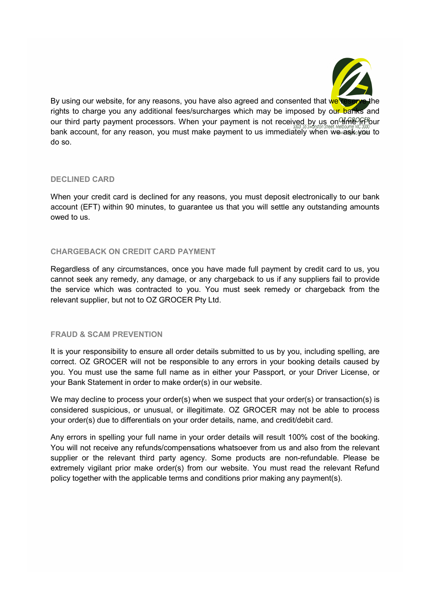

By using our website, for any reasons, you have also agreed and consented that we reserve rights to charge you any additional fees/surcharges which may be imposed by our banks and our third party payment processors. When your payment is not received by us on  $\frac{1}{10}$  our bank account, for any reason, you must make payment to us immediately when we ask you to do so.

# DECLINED CARD

When your credit card is declined for any reasons, you must deposit electronically to our bank account (EFT) within 90 minutes, to guarantee us that you will settle any outstanding amounts owed to us.

# CHARGEBACK ON CREDIT CARD PAYMENT

Regardless of any circumstances, once you have made full payment by credit card to us, you cannot seek any remedy, any damage, or any chargeback to us if any suppliers fail to provide the service which was contracted to you. You must seek remedy or chargeback from the relevant supplier, but not to OZ GROCER Pty Ltd.

## FRAUD & SCAM PREVENTION

It is your responsibility to ensure all order details submitted to us by you, including spelling, are correct. OZ GROCER will not be responsible to any errors in your booking details caused by you. You must use the same full name as in either your Passport, or your Driver License, or your Bank Statement in order to make order(s) in our website.

We may decline to process your order(s) when we suspect that your order(s) or transaction(s) is considered suspicious, or unusual, or illegitimate. OZ GROCER may not be able to process your order(s) due to differentials on your order details, name, and credit/debit card.

Any errors in spelling your full name in your order details will result 100% cost of the booking. You will not receive any refunds/compensations whatsoever from us and also from the relevant supplier or the relevant third party agency. Some products are non-refundable. Please be extremely vigilant prior make order(s) from our website. You must read the relevant Refund policy together with the applicable terms and conditions prior making any payment(s).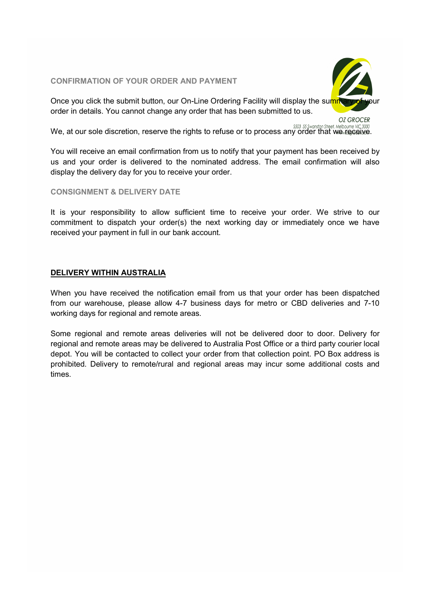## CONFIRMATION OF YOUR ORDER AND PAYMENT



Once you click the submit button, our On-Line Ordering Facility will display the summary order in details. You cannot change any order that has been submitted to us.

**OZ GROCER** 

We, at our sole discretion, reserve the rights to refuse or to process any order that we receive.

You will receive an email confirmation from us to notify that your payment has been received by us and your order is delivered to the nominated address. The email confirmation will also display the delivery day for you to receive your order.

CONSIGNMENT & DELIVERY DATE

It is your responsibility to allow sufficient time to receive your order. We strive to our commitment to dispatch your order(s) the next working day or immediately once we have received your payment in full in our bank account.

# DELIVERY WITHIN AUSTRALIA

When you have received the notification email from us that your order has been dispatched from our warehouse, please allow 4-7 business days for metro or CBD deliveries and 7-10 working days for regional and remote areas.

Some regional and remote areas deliveries will not be delivered door to door. Delivery for regional and remote areas may be delivered to Australia Post Office or a third party courier local depot. You will be contacted to collect your order from that collection point. PO Box address is prohibited. Delivery to remote/rural and regional areas may incur some additional costs and times.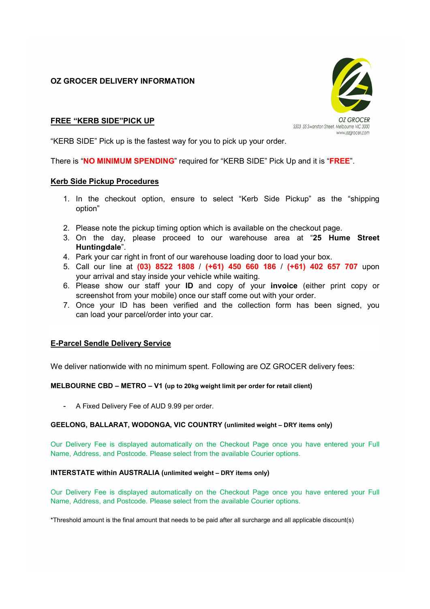OZ GROCER DELIVERY INFORMATION



# FREE "KERB SIDE"PICK UP

"KERB SIDE" Pick up is the fastest way for you to pick up your order.

There is "NO MINIMUM SPENDING" required for "KERB SIDE" Pick Up and it is "FREE".

## Kerb Side Pickup Procedures

- 1. In the checkout option, ensure to select "Kerb Side Pickup" as the "shipping option"
- 2. Please note the pickup timing option which is available on the checkout page.
- 3. On the day, please proceed to our warehouse area at "25 Hume Street Huntingdale".
- 4. Park your car right in front of our warehouse loading door to load your box.
- 5. Call our line at (03) 8522 1808 / (+61) 450 660 186 / (+61) 402 657 707 upon your arrival and stay inside your vehicle while waiting.
- 6. Please show our staff your ID and copy of your invoice (either print copy or screenshot from your mobile) once our staff come out with your order.
- 7. Once your ID has been verified and the collection form has been signed, you can load your parcel/order into your car.

## E-Parcel Sendle Delivery Service

We deliver nationwide with no minimum spent. Following are OZ GROCER delivery fees:

## MELBOURNE CBD – METRO – V1 (up to 20kg weight limit per order for retail client)

- A Fixed Delivery Fee of AUD 9.99 per order.

#### GEELONG, BALLARAT, WODONGA, VIC COUNTRY (unlimited weight – DRY items only)

Our Delivery Fee is displayed automatically on the Checkout Page once you have entered your Full Name, Address, and Postcode. Please select from the available Courier options.

#### INTERSTATE within AUSTRALIA (unlimited weight – DRY items only)

Our Delivery Fee is displayed automatically on the Checkout Page once you have entered your Full Name, Address, and Postcode. Please select from the available Courier options.

\*Threshold amount is the final amount that needs to be paid after all surcharge and all applicable discount(s)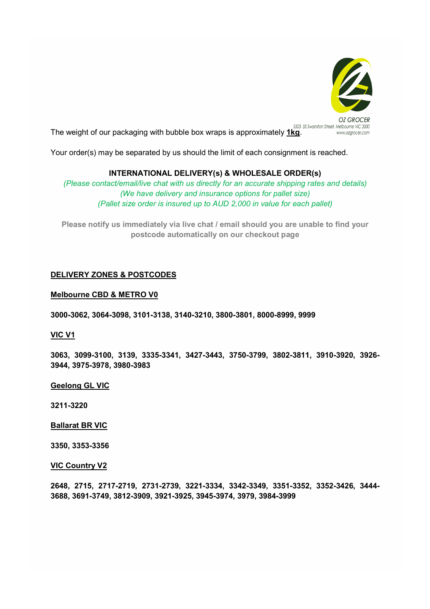

The weight of our packaging with bubble box wraps is approximately 1kg.

Your order(s) may be separated by us should the limit of each consignment is reached.

# INTERNATIONAL DELIVERY(s) & WHOLESALE ORDER(s)

(Please contact/email/live chat with us directly for an accurate shipping rates and details) (We have delivery and insurance options for pallet size) (Pallet size order is insured up to AUD 2,000 in value for each pallet)

Please notify us immediately via live chat / email should you are unable to find your postcode automatically on our checkout page

# DELIVERY ZONES & POSTCODES

#### Melbourne CBD & METRO V0

3000-3062, 3064-3098, 3101-3138, 3140-3210, 3800-3801, 8000-8999, 9999

## VIC V1

3063, 3099-3100, 3139, 3335-3341, 3427-3443, 3750-3799, 3802-3811, 3910-3920, 3926- 3944, 3975-3978, 3980-3983

## Geelong GL VIC

3211-3220

## Ballarat BR VIC

3350, 3353-3356

#### VIC Country V2

2648, 2715, 2717-2719, 2731-2739, 3221-3334, 3342-3349, 3351-3352, 3352-3426, 3444- 3688, 3691-3749, 3812-3909, 3921-3925, 3945-3974, 3979, 3984-3999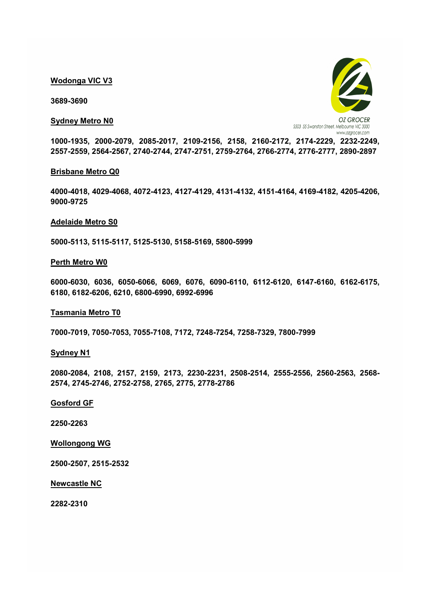#### Wodonga VIC V3

3689-3690

#### Sydney Metro N0



1000-1935, 2000-2079, 2085-2017, 2109-2156, 2158, 2160-2172, 2174-2229, 2232-2249, 2557-2559, 2564-2567, 2740-2744, 2747-2751, 2759-2764, 2766-2774, 2776-2777, 2890-2897

#### Brisbane Metro Q0

4000-4018, 4029-4068, 4072-4123, 4127-4129, 4131-4132, 4151-4164, 4169-4182, 4205-4206, 9000-9725

#### Adelaide Metro S0

5000-5113, 5115-5117, 5125-5130, 5158-5169, 5800-5999

#### Perth Metro W0

6000-6030, 6036, 6050-6066, 6069, 6076, 6090-6110, 6112-6120, 6147-6160, 6162-6175, 6180, 6182-6206, 6210, 6800-6990, 6992-6996

#### Tasmania Metro T0

7000-7019, 7050-7053, 7055-7108, 7172, 7248-7254, 7258-7329, 7800-7999

#### Sydney N1

2080-2084, 2108, 2157, 2159, 2173, 2230-2231, 2508-2514, 2555-2556, 2560-2563, 2568- 2574, 2745-2746, 2752-2758, 2765, 2775, 2778-2786

#### Gosford GF

2250-2263

## Wollongong WG

2500-2507, 2515-2532

Newcastle NC

2282-2310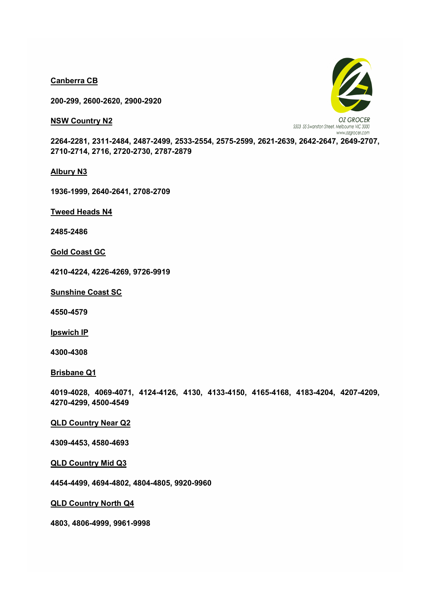Canberra CB

200-299, 2600-2620, 2900-2920

**NSW Country N2** 



2264-2281, 2311-2484, 2487-2499, 2533-2554, 2575-2599, 2621-2639, 2642-2647, 2649-2707, 2710-2714, 2716, 2720-2730, 2787-2879

Albury N3

1936-1999, 2640-2641, 2708-2709

Tweed Heads N4

2485-2486

Gold Coast GC

4210-4224, 4226-4269, 9726-9919

Sunshine Coast SC

4550-4579

**Ipswich IP** 

4300-4308

Brisbane Q1

4019-4028, 4069-4071, 4124-4126, 4130, 4133-4150, 4165-4168, 4183-4204, 4207-4209, 4270-4299, 4500-4549

## QLD Country Near Q2

4309-4453, 4580-4693

QLD Country Mid Q3

4454-4499, 4694-4802, 4804-4805, 9920-9960

QLD Country North Q4

4803, 4806-4999, 9961-9998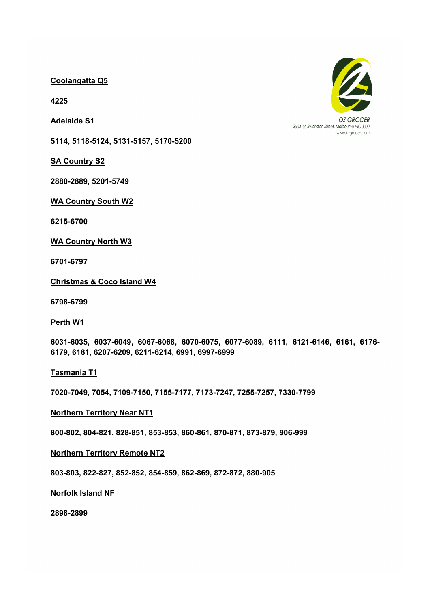# Coolangatta Q5

4225

Adelaide S1

5114, 5118-5124, 5131-5157, 5170-5200

**SA Country S2** 

2880-2889, 5201-5749

WA Country South W2

6215-6700

WA Country North W3

6701-6797

Christmas & Coco Island W4

6798-6799

Perth W1

6031-6035, 6037-6049, 6067-6068, 6070-6075, 6077-6089, 6111, 6121-6146, 6161, 6176- 6179, 6181, 6207-6209, 6211-6214, 6991, 6997-6999

Tasmania T1

7020-7049, 7054, 7109-7150, 7155-7177, 7173-7247, 7255-7257, 7330-7799

## Northern Territory Near NT1

800-802, 804-821, 828-851, 853-853, 860-861, 870-871, 873-879, 906-999

## Northern Territory Remote NT2

803-803, 822-827, 852-852, 854-859, 862-869, 872-872, 880-905

## Norfolk Island NF

2898-2899



\$503 55 Swanston Street, Melbourne VIC 3000 www.ozarocer.com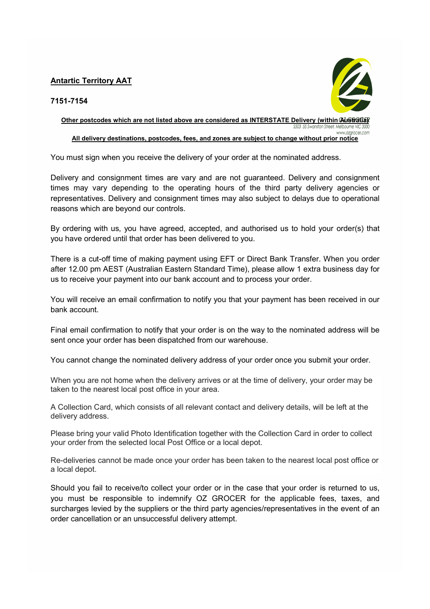# Antartic Territory AAT



# 7151-7154

Other postcodes which are not listed above are considered as INTERSTATE Delivery (within  $\alpha$ istralia) www.ozarocer.com All delivery destinations, postcodes, fees, and zones are subject to change without prior notice

You must sign when you receive the delivery of your order at the nominated address.

Delivery and consignment times are vary and are not guaranteed. Delivery and consignment times may vary depending to the operating hours of the third party delivery agencies or representatives. Delivery and consignment times may also subject to delays due to operational reasons which are beyond our controls.

By ordering with us, you have agreed, accepted, and authorised us to hold your order(s) that you have ordered until that order has been delivered to you.

There is a cut-off time of making payment using EFT or Direct Bank Transfer. When you order after 12.00 pm AEST (Australian Eastern Standard Time), please allow 1 extra business day for us to receive your payment into our bank account and to process your order.

You will receive an email confirmation to notify you that your payment has been received in our bank account.

Final email confirmation to notify that your order is on the way to the nominated address will be sent once your order has been dispatched from our warehouse.

You cannot change the nominated delivery address of your order once you submit your order.

When you are not home when the delivery arrives or at the time of delivery, your order may be taken to the nearest local post office in your area.

A Collection Card, which consists of all relevant contact and delivery details, will be left at the delivery address.

Please bring your valid Photo Identification together with the Collection Card in order to collect your order from the selected local Post Office or a local depot.

Re-deliveries cannot be made once your order has been taken to the nearest local post office or a local depot.

Should you fail to receive/to collect your order or in the case that your order is returned to us, you must be responsible to indemnify OZ GROCER for the applicable fees, taxes, and surcharges levied by the suppliers or the third party agencies/representatives in the event of an order cancellation or an unsuccessful delivery attempt.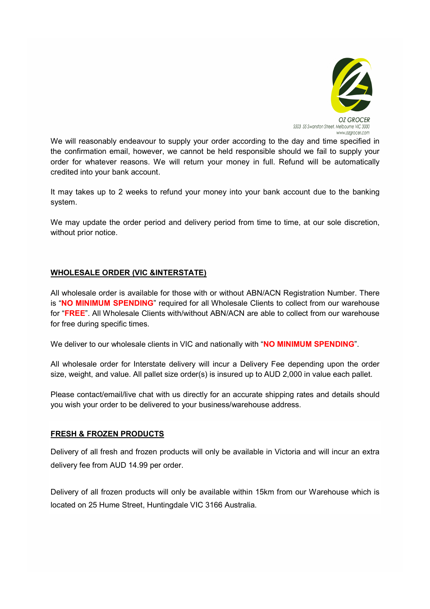

We will reasonably endeavour to supply your order according to the day and time specified in the confirmation email, however, we cannot be held responsible should we fail to supply your order for whatever reasons. We will return your money in full. Refund will be automatically credited into your bank account.

It may takes up to 2 weeks to refund your money into your bank account due to the banking system.

We may update the order period and delivery period from time to time, at our sole discretion, without prior notice.

# WHOLESALE ORDER (VIC &INTERSTATE)

All wholesale order is available for those with or without ABN/ACN Registration Number. There is "NO MINIMUM SPENDING" required for all Wholesale Clients to collect from our warehouse for "FREE". All Wholesale Clients with/without ABN/ACN are able to collect from our warehouse for free during specific times.

We deliver to our wholesale clients in VIC and nationally with "NO MINIMUM SPENDING".

All wholesale order for Interstate delivery will incur a Delivery Fee depending upon the order size, weight, and value. All pallet size order(s) is insured up to AUD 2,000 in value each pallet.

Please contact/email/live chat with us directly for an accurate shipping rates and details should you wish your order to be delivered to your business/warehouse address.

# FRESH & FROZEN PRODUCTS

Delivery of all fresh and frozen products will only be available in Victoria and will incur an extra delivery fee from AUD 14.99 per order.

Delivery of all frozen products will only be available within 15km from our Warehouse which is located on 25 Hume Street, Huntingdale VIC 3166 Australia.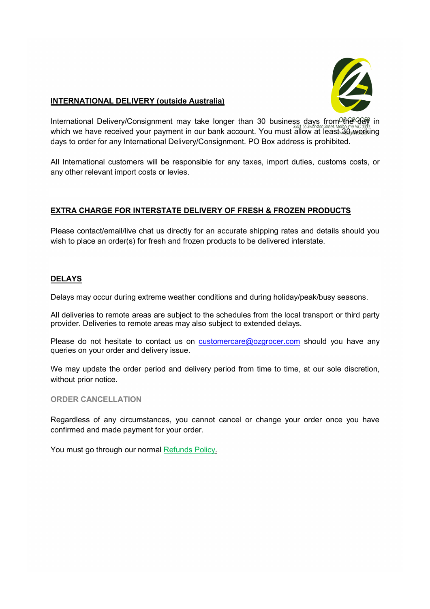

# INTERNATIONAL DELIVERY (outside Australia)

International Delivery/Consignment may take longer than 30 business days from the day in which we have received your payment in our bank account. You must allow at least 30 working days to order for any International Delivery/Consignment. PO Box address is prohibited.

All International customers will be responsible for any taxes, import duties, customs costs, or any other relevant import costs or levies.

# EXTRA CHARGE FOR INTERSTATE DELIVERY OF FRESH & FROZEN PRODUCTS

Please contact/email/live chat us directly for an accurate shipping rates and details should you wish to place an order(s) for fresh and frozen products to be delivered interstate.

# DELAYS

Delays may occur during extreme weather conditions and during holiday/peak/busy seasons.

All deliveries to remote areas are subject to the schedules from the local transport or third party provider. Deliveries to remote areas may also subject to extended delays.

Please do not hesitate to contact us on customercare@ozgrocer.com should you have any queries on your order and delivery issue.

We may update the order period and delivery period from time to time, at our sole discretion, without prior notice.

## ORDER CANCELLATION

Regardless of any circumstances, you cannot cancel or change your order once you have confirmed and made payment for your order.

You must go through our normal Refunds Policy.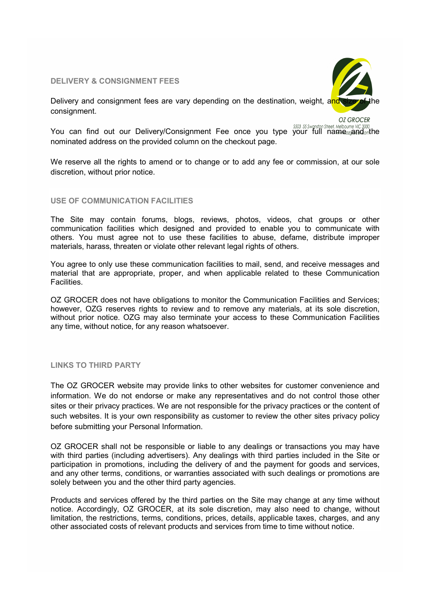## DELIVERY & CONSIGNMENT FEES



Delivery and consignment fees are vary depending on the destination, weight, and consignment.

**OZ GROCER** 

You can find out our Delivery/Consignment Fee once you type your full name we wand on the the bound of the UC300 nominated address on the provided column on the checkout page.

We reserve all the rights to amend or to change or to add any fee or commission, at our sole discretion, without prior notice.

#### USE OF COMMUNICATION FACILITIES

The Site may contain forums, blogs, reviews, photos, videos, chat groups or other communication facilities which designed and provided to enable you to communicate with others. You must agree not to use these facilities to abuse, defame, distribute improper materials, harass, threaten or violate other relevant legal rights of others.

You agree to only use these communication facilities to mail, send, and receive messages and material that are appropriate, proper, and when applicable related to these Communication Facilities.

OZ GROCER does not have obligations to monitor the Communication Facilities and Services; however, OZG reserves rights to review and to remove any materials, at its sole discretion, without prior notice. OZG may also terminate your access to these Communication Facilities any time, without notice, for any reason whatsoever.

## LINKS TO THIRD PARTY

The OZ GROCER website may provide links to other websites for customer convenience and information. We do not endorse or make any representatives and do not control those other sites or their privacy practices. We are not responsible for the privacy practices or the content of such websites. It is your own responsibility as customer to review the other sites privacy policy before submitting your Personal Information.

OZ GROCER shall not be responsible or liable to any dealings or transactions you may have with third parties (including advertisers). Any dealings with third parties included in the Site or participation in promotions, including the delivery of and the payment for goods and services, and any other terms, conditions, or warranties associated with such dealings or promotions are solely between you and the other third party agencies.

Products and services offered by the third parties on the Site may change at any time without notice. Accordingly, OZ GROCER, at its sole discretion, may also need to change, without limitation, the restrictions, terms, conditions, prices, details, applicable taxes, charges, and any other associated costs of relevant products and services from time to time without notice.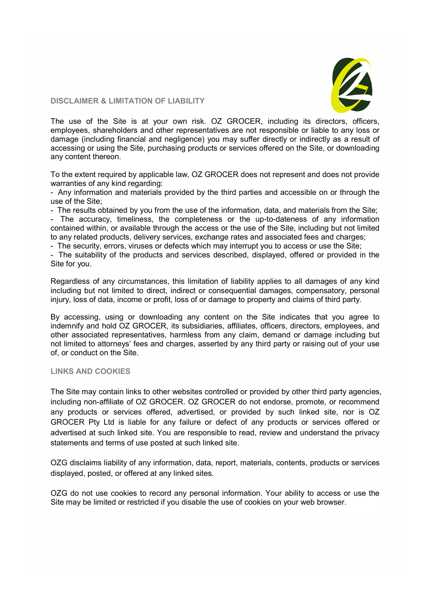

## DISCLAIMER & LIMITATION OF LIABILITY

The use of the Site is at your own risk. OZ GROCER, including its directors, officers, employees, shareholders and other representatives are not responsible or liable to any loss or damage (including financial and negligence) you may suffer directly or indirectly as a result of accessing or using the Site, purchasing products or services offered on the Site, or downloading any content thereon.

To the extent required by applicable law, OZ GROCER does not represent and does not provide warranties of any kind regarding:

- Any information and materials provided by the third parties and accessible on or through the use of the Site;

- The results obtained by you from the use of the information, data, and materials from the Site;

- The accuracy, timeliness, the completeness or the up-to-dateness of any information contained within, or available through the access or the use of the Site, including but not limited to any related products, delivery services, exchange rates and associated fees and charges;

- The security, errors, viruses or defects which may interrupt you to access or use the Site;

- The suitability of the products and services described, displayed, offered or provided in the Site for you.

Regardless of any circumstances, this limitation of liability applies to all damages of any kind including but not limited to direct, indirect or consequential damages, compensatory, personal injury, loss of data, income or profit, loss of or damage to property and claims of third party.

By accessing, using or downloading any content on the Site indicates that you agree to indemnify and hold OZ GROCER, its subsidiaries, affiliates, officers, directors, employees, and other associated representatives, harmless from any claim, demand or damage including but not limited to attorneys' fees and charges, asserted by any third party or raising out of your use of, or conduct on the Site.

## LINKS AND COOKIES

The Site may contain links to other websites controlled or provided by other third party agencies, including non-affiliate of OZ GROCER. OZ GROCER do not endorse, promote, or recommend any products or services offered, advertised, or provided by such linked site, nor is OZ GROCER Pty Ltd is liable for any failure or defect of any products or services offered or advertised at such linked site. You are responsible to read, review and understand the privacy statements and terms of use posted at such linked site.

OZG disclaims liability of any information, data, report, materials, contents, products or services displayed, posted, or offered at any linked sites.

OZG do not use cookies to record any personal information. Your ability to access or use the Site may be limited or restricted if you disable the use of cookies on your web browser.